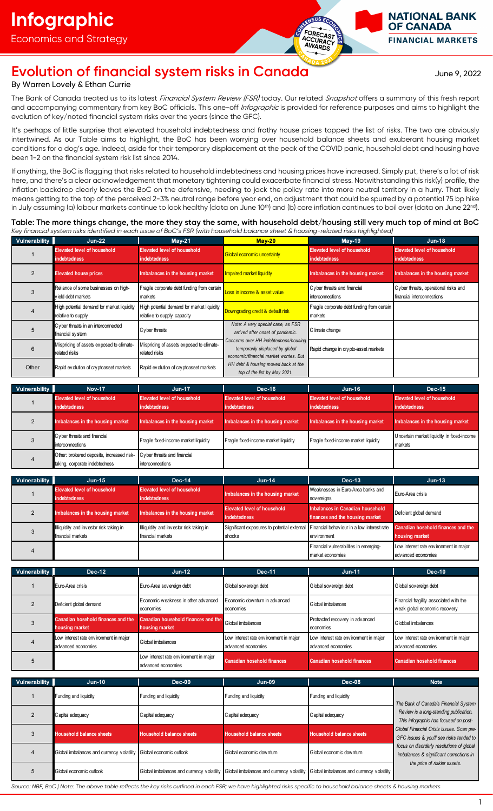**NATIONAL BANK OF CANADA FINANCIAL MARKETS** 

# **Evolution of financial system risks in Canada** June 9, 2022

# By Warren Lovely & Ethan Currie

The Bank of Canada treated us to its latest Financial System Review (FSR) today. Our related Snapshot offers a summary of this fresh report and accompanying commentary from key BoC officials. This one-off Infographic is provided for reference purposes and aims to highlight the evolution of key/noted financial system risks over the years (since the GFC).

NSUS ECO

FORECAST ACCURACY<br>AWARDS

It's perhaps of little surprise that elevated household indebtedness and frothy house prices topped the list of risks. The two are obviously intertwined. As our Table aims to highlight, the BoC has been worrying over household balance sheets and exuberant housing market conditions for a dog's age. Indeed, aside for their temporary displacement at the peak of the COVID panic, household debt and housing have been 1-2 on the financial system risk list since 2014.

If anything, the BoC is flagging that risks related to household indebtedness and housing prices have increased. Simply put, there's a lot of risk here, and there's a clear acknowledgement that monetary tightening could exacerbate financial stress. Notwithstanding this risk(y) profile, the inflation backdrop clearly leaves the BoC on the defensive, needing to jack the policy rate into more neutral territory in a hurry. That likely means getting to the top of the perceived 2-3% neutral range before year end, an adjustment that could be spurred by a potential 75 bp hike in July assuming (a) labour markets continue to look healthy (data on June 10<sup>th</sup>) and (b) core inflation continues to boil over (data on June 22<sup>nd</sup>).

**Table: The more things change, the more they stay the same, with household debt/housing still very much top of mind at BoC** *Key financial system risks identified in each issue of BoC's FSR (with household balance sheet & housing-related risks highlighted)*

| Vulnerability | $Jun-22$                                                         | $May-21$                                                                  | $May-20$                                                                                                           | $May-19$                                               | $Jun-18$                                                           |
|---------------|------------------------------------------------------------------|---------------------------------------------------------------------------|--------------------------------------------------------------------------------------------------------------------|--------------------------------------------------------|--------------------------------------------------------------------|
|               | <b>Elevated level of household</b><br><b>indebtedness</b>        | Elevated level of household<br><b>indebtedness</b>                        | Global economic uncertainty                                                                                        | Elevated level of household<br><b>indebtedness</b>     | Elevated level of household<br><b>indebtedness</b>                 |
|               | <b>Elevated house prices</b>                                     | Imbalances in the housing market                                          | <b>Impaired market liquidity</b>                                                                                   | Imbalances in the housing market                       | Imbalances in the housing market                                   |
|               | Reliance of some businesses on high-<br>vield debt markets       | Fraqile corporate debt funding from certain<br>markets                    | Loss in income & asset value                                                                                       | Cyber threats and financial<br>interconnections        | Cyber threats, operational risks and<br>financial interconnections |
|               | High potential demand for market liquidity<br>relative to supply | High potential demand for market liquidity<br>relative to supply capacity | Downgrading credit & default risk                                                                                  | Fraqile corporate debt funding from certain<br>markets |                                                                    |
|               | Cyber threats in an interconnected<br>financial system           | Cyber threats                                                             | Note: A very special case, as FSR<br>arrived after onset of pandemic.                                              | Climate change                                         |                                                                    |
|               | Mispricing of assets exposed to climate-<br>related risks        | Mispricing of assets exposed to climate-<br>related risks                 | Concerns over HH indebtedness/housing<br>temporarily displaced by global<br>economic/financial market worries. But | Rapid change in crypto-asset markets                   |                                                                    |
| Other         | Rapid evolution of cryptoasset markets                           | Rapid evolution of cryptoasset markets                                    | HH debt & housing moved back at the<br>top of the list by May 2021.                                                |                                                        |                                                                    |

| Vulnerability | <b>Nov-17</b>                                                                | $Jun-17$                                                  | Dec-16                                             | $Jun-16$                                    | <b>Dec-15</b>                                                  |
|---------------|------------------------------------------------------------------------------|-----------------------------------------------------------|----------------------------------------------------|---------------------------------------------|----------------------------------------------------------------|
|               | <b>Elevated level of household</b><br>indebtedness                           | <b>Elevated level of household</b><br><b>indebtedness</b> | Elevated level of household<br><b>indebtedness</b> | Elevated level of household<br>indebtedness | Elevated level of household<br><b>indebtedness</b>             |
|               | Imbalances in the housing market                                             | Imbalances in the housing market                          | Imbalances in the housing market                   | Imbalances in the housing market            | Imbalances in the housing market                               |
|               | Cyber threats and financial<br><i>interconnections</i>                       | Fraqile fix ed-income market liquidity                    | Fraqile fix ed-income market liquidity             | Fraqile fix ed-income market liquidity      | Uncertain market liquidity in fixed-income<br><b>I</b> markets |
|               | Other: brokered deposits, increased risk-<br>Itaking, corporate indebtedness | Cyber threats and financial<br>interconnections           |                                                    |                                             |                                                                |

| Vulnerability | $Jun-15$                                | $Dec-14$                                | $Jun-14$                                                                               | $Dec-13$                               | $Jun-13$                               |
|---------------|-----------------------------------------|-----------------------------------------|----------------------------------------------------------------------------------------|----------------------------------------|----------------------------------------|
|               | Elevated level of household             | Elevated level of household             | Imbalances in the housing market                                                       | Weaknesses in Euro-Area banks and      | Euro-Area crisis                       |
|               | indebtedness                            | <b>indebtedness</b>                     |                                                                                        | sov ereigns                            |                                        |
|               | Imbalances in the housing market        | Imbalances in the housing market        | Elevated level of household                                                            | Inbalances in Canadian household       | Deficient global demand                |
|               |                                         |                                         | <b>indebtedness</b>                                                                    | finances and the housing market        |                                        |
|               | Illiquidity and investor risk taking in | Illiquidity and investor risk taking in | Significant exposures to potential external Financial behaviour in a low interest rate |                                        | Canadian hosehold finances and the     |
|               | financial markets                       | financial markets                       | shocks                                                                                 | env ironment                           | housing market                         |
|               |                                         |                                         |                                                                                        | Financial vulnerabilities in emerging- | Low interest rate environment in major |
|               |                                         |                                         |                                                                                        | market economies                       | advanced economies                     |

| <b>Vulnerability</b> | <b>Dec-12</b>                                                 | $Jun-12$                                                      | <b>Dec-11</b>                                                 | $Jun-11$                                                      | <b>Dec-10</b>                                                                                                            |
|----------------------|---------------------------------------------------------------|---------------------------------------------------------------|---------------------------------------------------------------|---------------------------------------------------------------|--------------------------------------------------------------------------------------------------------------------------|
|                      | Euro-Area crisis                                              | Euro-Area sov ereign debt                                     | Global sovereign debt                                         | Global sovereign debt                                         | Global sovereign debt                                                                                                    |
| 2                    | Deficient global demand                                       | Economic weakness in other advanced<br>economies              | Economic downturn in advanced<br>economies                    | Global imbalances                                             | Financial fragility associated with the<br>weak global economic recovery                                                 |
| 3                    | Canadian hosehold finances and the<br>housing market          | Canadian household finances and the<br>housing market         | Global imbalances                                             | Protracted recovery in advanced<br>economies                  | Globbal imbalances                                                                                                       |
| $\overline{4}$       | Low interest rate environment in major<br>adv anced economies | Global imbalances                                             | Low interest rate environment in major<br>adv anced economies | Low interest rate environment in major<br>adv anced economies | Low interest rate environment in major<br>adv anced economies                                                            |
| 5                    |                                                               | Low interest rate environment in major<br>adv anced economies | Canadian hosehold finances                                    | <b>Canadian hosehold finances</b>                             | Canadian hosehold finances                                                                                               |
|                      |                                                               |                                                               |                                                               |                                                               |                                                                                                                          |
|                      |                                                               |                                                               |                                                               |                                                               |                                                                                                                          |
| <b>Vulnerability</b> | $Jun-10$                                                      | <b>Dec-09</b>                                                 | $Jun-09$                                                      | Dec-08                                                        | <b>Note</b>                                                                                                              |
| $\mathbf 1$          | Funding and liquidity                                         | Funding and liquidity                                         | Funding and liquidity                                         | Funding and liquidity                                         |                                                                                                                          |
| 2                    | Capital adequacy                                              | Capital adequacy                                              | Capital adequacy                                              | Capital adequacy                                              | The Bank of Canada's Financial System<br>Review is a long-standing publication.<br>This infographic has focused on post- |
| 3                    | Household balance sheets                                      | <b>Household balance sheets</b>                               | <b>Household balance sheets</b>                               | <b>Household balance sheets</b>                               | Global Financial Crisis issues. Scan pre-<br>GFC issues & you'll see risks tended to                                     |
| $\overline{4}$       | Global imbalances and currency volatility                     | Global economic outlook                                       | Global economic downturn                                      | Global economic downturn                                      | focus on disorderly resolutions of global<br>imbalances & significant corrections in                                     |
| 5                    | Global economic outlook                                       | Global imbalances and currency volatility                     | Global imbalances and currency volatility                     | Global imbalances and currency volatility                     | the price of riskier assets.                                                                                             |